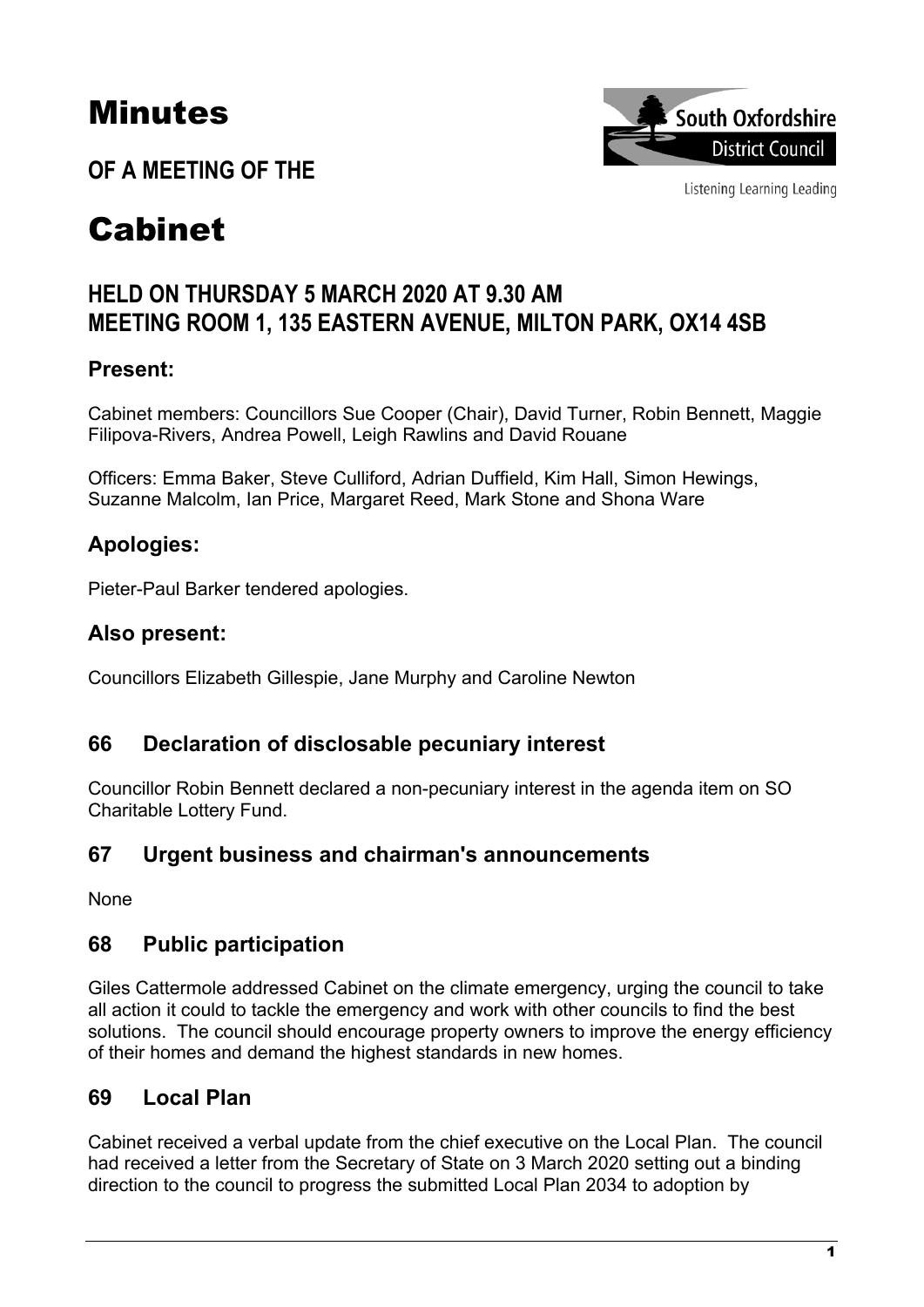# Minutes

**OF A MEETING OF THE**



Listening Learning Leading

# Cabinet

## **HELD ON THURSDAY 5 MARCH 2020 AT 9.30 AM MEETING ROOM 1, 135 EASTERN AVENUE, MILTON PARK, OX14 4SB**

## **Present:**

Cabinet members: Councillors Sue Cooper (Chair), David Turner, Robin Bennett, Maggie Filipova-Rivers, Andrea Powell, Leigh Rawlins and David Rouane

Officers: Emma Baker, Steve Culliford, Adrian Duffield, Kim Hall, Simon Hewings, Suzanne Malcolm, Ian Price, Margaret Reed, Mark Stone and Shona Ware

## **Apologies:**

Pieter-Paul Barker tendered apologies.

#### **Also present:**

Councillors Elizabeth Gillespie, Jane Murphy and Caroline Newton

#### **66 Declaration of disclosable pecuniary interest**

Councillor Robin Bennett declared a non-pecuniary interest in the agenda item on SO Charitable Lottery Fund.

#### **67 Urgent business and chairman's announcements**

None

#### **68 Public participation**

Giles Cattermole addressed Cabinet on the climate emergency, urging the council to take all action it could to tackle the emergency and work with other councils to find the best solutions. The council should encourage property owners to improve the energy efficiency of their homes and demand the highest standards in new homes.

#### **69 Local Plan**

Cabinet received a verbal update from the chief executive on the Local Plan. The council had received a letter from the Secretary of State on 3 March 2020 setting out a binding direction to the council to progress the submitted Local Plan 2034 to adoption by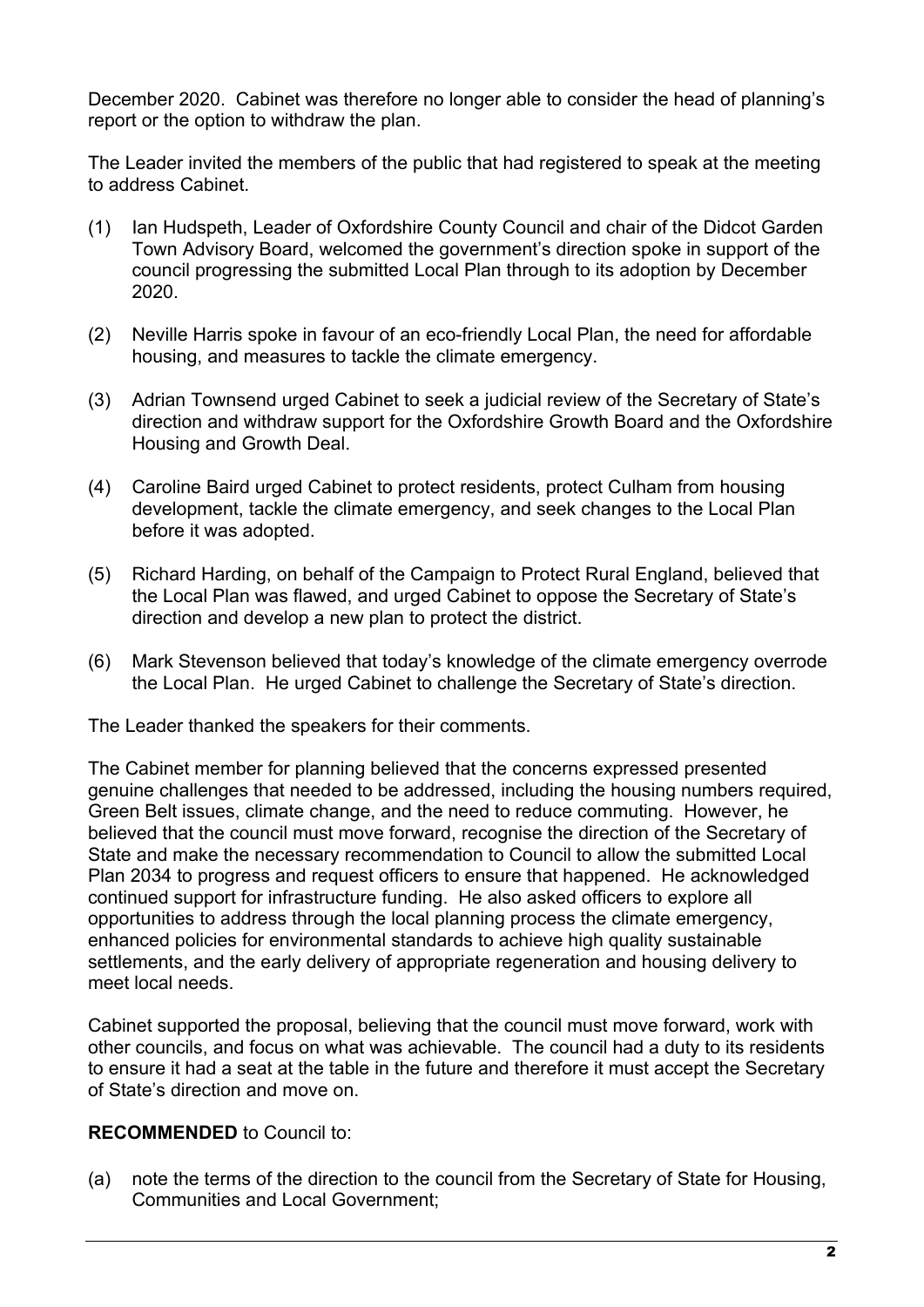December 2020. Cabinet was therefore no longer able to consider the head of planning's report or the option to withdraw the plan.

The Leader invited the members of the public that had registered to speak at the meeting to address Cabinet.

- (1) Ian Hudspeth, Leader of Oxfordshire County Council and chair of the Didcot Garden Town Advisory Board, welcomed the government's direction spoke in support of the council progressing the submitted Local Plan through to its adoption by December 2020.
- (2) Neville Harris spoke in favour of an eco-friendly Local Plan, the need for affordable housing, and measures to tackle the climate emergency.
- (3) Adrian Townsend urged Cabinet to seek a judicial review of the Secretary of State's direction and withdraw support for the Oxfordshire Growth Board and the Oxfordshire Housing and Growth Deal.
- (4) Caroline Baird urged Cabinet to protect residents, protect Culham from housing development, tackle the climate emergency, and seek changes to the Local Plan before it was adopted.
- (5) Richard Harding, on behalf of the Campaign to Protect Rural England, believed that the Local Plan was flawed, and urged Cabinet to oppose the Secretary of State's direction and develop a new plan to protect the district.
- (6) Mark Stevenson believed that today's knowledge of the climate emergency overrode the Local Plan. He urged Cabinet to challenge the Secretary of State's direction.

The Leader thanked the speakers for their comments.

The Cabinet member for planning believed that the concerns expressed presented genuine challenges that needed to be addressed, including the housing numbers required, Green Belt issues, climate change, and the need to reduce commuting. However, he believed that the council must move forward, recognise the direction of the Secretary of State and make the necessary recommendation to Council to allow the submitted Local Plan 2034 to progress and request officers to ensure that happened. He acknowledged continued support for infrastructure funding. He also asked officers to explore all opportunities to address through the local planning process the climate emergency, enhanced policies for environmental standards to achieve high quality sustainable settlements, and the early delivery of appropriate regeneration and housing delivery to meet local needs.

Cabinet supported the proposal, believing that the council must move forward, work with other councils, and focus on what was achievable. The council had a duty to its residents to ensure it had a seat at the table in the future and therefore it must accept the Secretary of State's direction and move on.

#### **RECOMMENDED** to Council to:

(a) note the terms of the direction to the council from the Secretary of State for Housing, Communities and Local Government;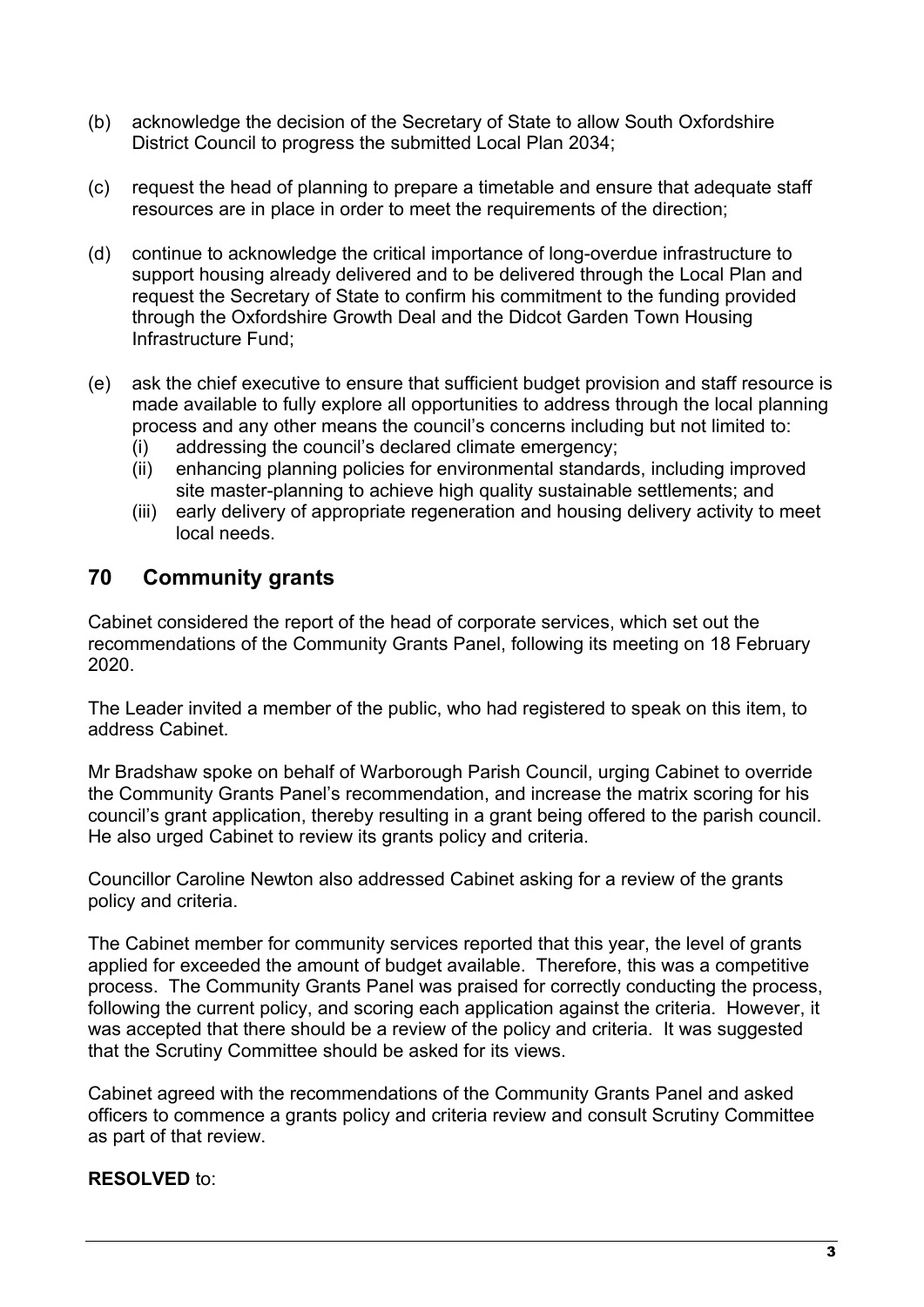- (b) acknowledge the decision of the Secretary of State to allow South Oxfordshire District Council to progress the submitted Local Plan 2034;
- (c) request the head of planning to prepare a timetable and ensure that adequate staff resources are in place in order to meet the requirements of the direction;
- (d) continue to acknowledge the critical importance of long-overdue infrastructure to support housing already delivered and to be delivered through the Local Plan and request the Secretary of State to confirm his commitment to the funding provided through the Oxfordshire Growth Deal and the Didcot Garden Town Housing Infrastructure Fund;
- (e) ask the chief executive to ensure that sufficient budget provision and staff resource is made available to fully explore all opportunities to address through the local planning process and any other means the council's concerns including but not limited to:
	- (i) addressing the council's declared climate emergency;
	- (ii) enhancing planning policies for environmental standards, including improved site master-planning to achieve high quality sustainable settlements; and
	- (iii) early delivery of appropriate regeneration and housing delivery activity to meet local needs.

#### **70 Community grants**

Cabinet considered the report of the head of corporate services, which set out the recommendations of the Community Grants Panel, following its meeting on 18 February 2020.

The Leader invited a member of the public, who had registered to speak on this item, to address Cabinet.

Mr Bradshaw spoke on behalf of Warborough Parish Council, urging Cabinet to override the Community Grants Panel's recommendation, and increase the matrix scoring for his council's grant application, thereby resulting in a grant being offered to the parish council. He also urged Cabinet to review its grants policy and criteria.

Councillor Caroline Newton also addressed Cabinet asking for a review of the grants policy and criteria.

The Cabinet member for community services reported that this year, the level of grants applied for exceeded the amount of budget available. Therefore, this was a competitive process. The Community Grants Panel was praised for correctly conducting the process, following the current policy, and scoring each application against the criteria. However, it was accepted that there should be a review of the policy and criteria. It was suggested that the Scrutiny Committee should be asked for its views.

Cabinet agreed with the recommendations of the Community Grants Panel and asked officers to commence a grants policy and criteria review and consult Scrutiny Committee as part of that review.

#### **RESOLVED** to: